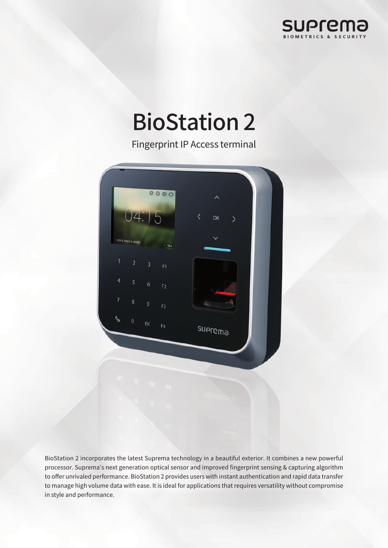

# BioStation 2

Fingerprint IP Access terminal



BioStation 2 incorporates the latest Suprema technology in a beautiful exterior. It combines a new powerful processor. Suprema's next generation optical sensor and improved fingerprint sensing & capturing algorithm to offer unrivaled performance. BioStation 2 provides users with instant authentication and rapid data transfer to manage high volume data with ease. It is ideal for applications that requires versatility without compromise in style and performance.